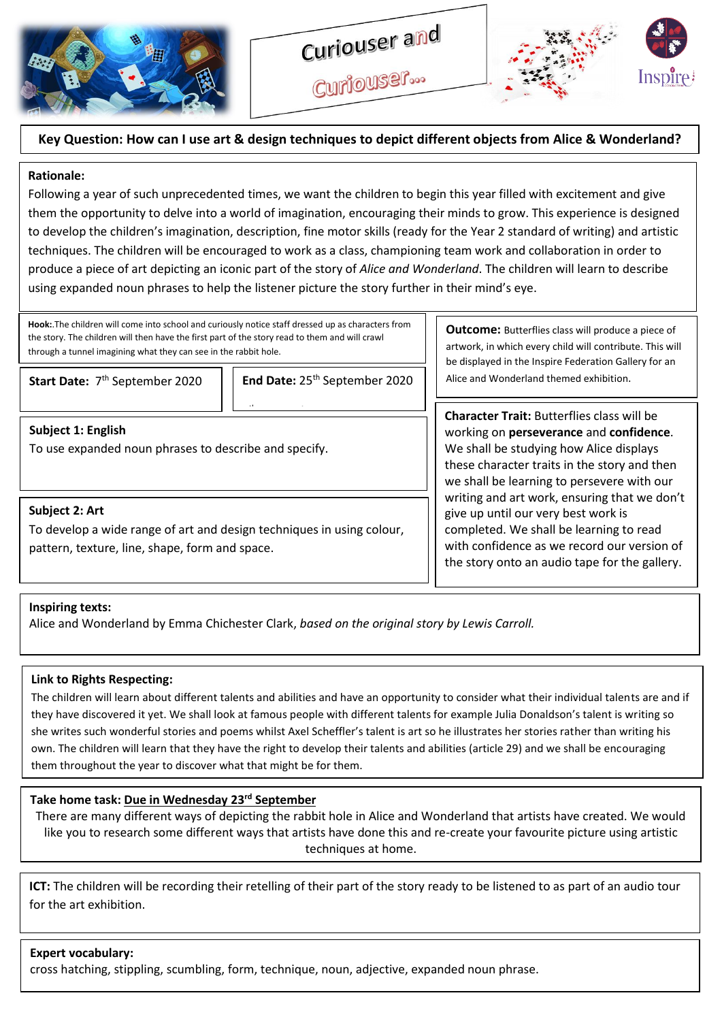

Curiouser...



# **Key Question: How can I use art & design techniques to depict different objects from Alice & Wonderland?**

## **Rationale:**

Following a year of such unprecedented times, we want the children to begin this year filled with excitement and give them the opportunity to delve into a world of imagination, encouraging their minds to grow. This experience is designed to develop the children's imagination, description, fine motor skills (ready for the Year 2 standard of writing) and artistic techniques. The children will be encouraged to work as a class, championing team work and collaboration in order to produce a piece of art depicting an iconic part of the story of *Alice and Wonderland*. The children will learn to describe using expanded noun phrases to help the listener picture the story further in their mind's eye.

**Hook:**.The children will come into school and curiously notice staff dressed up as characters from the story. The children will then have the first part of the story read to them and will crawl through a tunnel imagining what they can see in the rabbit hole.

7

Start Date: 7<sup>th</sup> September 2020

**End Date: 25<sup>th</sup> September 2020** 

## **Subject 1: English**

To use expanded noun phrases to describe and specify.

# **Subject 2: Art**

To develop a wide range of art and design techniques in using colour, pattern, texture, line, shape, form and space.

**Outcome:** Butterflies class will produce a piece of artwork, in which every child will contribute. This will be displayed in the Inspire Federation Gallery for an Alice and Wonderland themed exhibition.

**Character Trait:** Butterflies class will be working on **perseverance** and **confidence**. We shall be studying how Alice displays these character traits in the story and then we shall be learning to persevere with our writing and art work, ensuring that we don't give up until our very best work is completed. We shall be learning to read with confidence as we record our version of the story onto an audio tape for the gallery.

## **Inspiring texts:**

Alice and Wonderland by Emma Chichester Clark, *based on the original story by Lewis Carroll.*

#### **Link to Rights Respecting:**

The children will learn about different talents and abilities and have an opportunity to consider what their individual talents are and if they have discovered it yet. We shall look at famous people with different talents for example Julia Donaldson's talent is writing so she writes such wonderful stories and poems whilst Axel Scheffler's talent is art so he illustrates her stories rather than writing his own. The children will learn that they have the right to develop their talents and abilities (article 29) and we shall be encouraging them throughout the year to discover what that might be for them.

# **Take home task: Due in Wednesday 23rd September**

There are many different ways of depicting the rabbit hole in Alice and Wonderland that artists have created. We would like you to research some different ways that artists have done this and re-create your favourite picture using artistic techniques at home.

**ICT:** The children will be recording their retelling of their part of the story ready to be listened to as part of an audio tour for the art exhibition.

#### **Expert vocabulary:**

cross hatching, stippling, scumbling, form, technique, noun, adjective, expanded noun phrase.